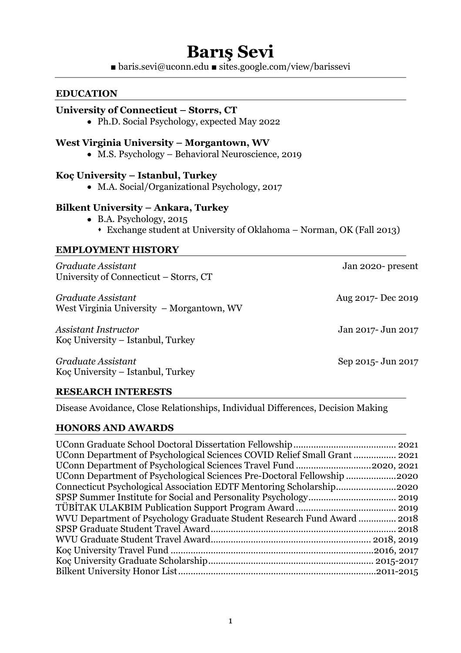# **Barış Sevi**

■ baris.sevi@uconn.edu ■ sites.google.com/view/barissevi

#### **EDUCATION**

#### **University of Connecticut – Storrs, CT**

• Ph.D. Social Psychology, expected May 2022

#### **West Virginia University – Morgantown, WV**

• M.S. Psychology – Behavioral Neuroscience, 2019

#### **Koç University – Istanbul, Turkey**

• M.A. Social/Organizational Psychology, 2017

#### **Bilkent University – Ankara, Turkey**

- B.A. Psychology, 2015
	- s Exchange student at University of Oklahoma Norman, OK (Fall 2013)

#### **EMPLOYMENT HISTORY**

*Graduate Assistant* Jan 2020- present University of Connecticut – Storrs, CT

*Graduate Assistant* Aug 2017- Dec 2019 West Virginia University – Morgantown, WV

*Assistant Instructor* Jan 2017- Jun 2017 Koç University – Istanbul, Turkey

*Graduate Assistant* Sep 2015- Jun 2017 Koç University – Istanbul, Turkey

#### **RESEARCH INTERESTS**

Disease Avoidance, Close Relationships, Individual Differences, Decision Making

#### **HONORS AND AWARDS**

| UConn Department of Psychological Sciences Pre-Doctoral Fellowship 2020 |  |
|-------------------------------------------------------------------------|--|
| Connecticut Psychological Association EDTF Mentoring Scholarship2020    |  |
|                                                                         |  |
|                                                                         |  |
| WVU Department of Psychology Graduate Student Research Fund Award  2018 |  |
|                                                                         |  |
|                                                                         |  |
|                                                                         |  |
|                                                                         |  |
|                                                                         |  |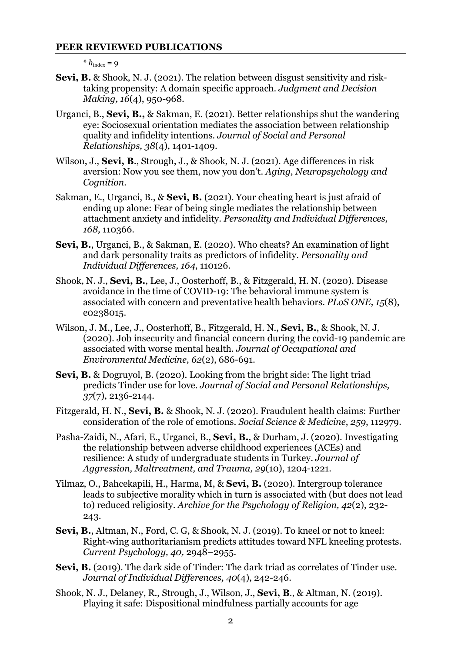#### **PEER REVIEWED PUBLICATIONS**

 $* h_{index} = 9$ 

- **Sevi, B.** & Shook, N. J. (2021). The relation between disgust sensitivity and risktaking propensity: A domain specific approach. *Judgment and Decision Making, 16*(4), 950-968.
- Urganci, B., **Sevi, B.,** & Sakman, E. (2021). Better relationships shut the wandering eye: Sociosexual orientation mediates the association between relationship quality and infidelity intentions. *Journal of Social and Personal Relationships, 38*(4), 1401-1409.
- Wilson, J., **Sevi, B**., Strough, J., & Shook, N. J. (2021). Age differences in risk aversion: Now you see them, now you don't. *Aging, Neuropsychology and Cognition.*
- Sakman, E., Urganci, B., & **Sevi, B.** (2021). Your cheating heart is just afraid of ending up alone: Fear of being single mediates the relationship between attachment anxiety and infidelity. *Personality and Individual Differences, 168,* 110366.
- **Sevi, B.**, Urganci, B., & Sakman, E. (2020). Who cheats? An examination of light and dark personality traits as predictors of infidelity. *Personality and Individual Differences, 164*, 110126*.*
- Shook, N. J., **Sevi, B.**, Lee, J., Oosterhoff, B., & Fitzgerald, H. N. (2020). Disease avoidance in the time of COVID-19: The behavioral immune system is associated with concern and preventative health behaviors. *PLoS ONE, 15*(8), e0238015.
- Wilson, J. M., Lee, J., Oosterhoff, B., Fitzgerald, H. N., **Sevi, B.**, & Shook, N. J. (2020). Job insecurity and financial concern during the covid-19 pandemic are associated with worse mental health. *Journal of Occupational and Environmental Medicine, 62*(2), 686-691*.*
- **Sevi, B.** & Dogruyol, B. (2020). Looking from the bright side: The light triad predicts Tinder use for love. *Journal of Social and Personal Relationships, 37*(7), 2136-2144*.*
- Fitzgerald, H. N., **Sevi, B.** & Shook, N. J. (2020). Fraudulent health claims: Further consideration of the role of emotions. *Social Science & Medicine*, *259*, 112979.
- Pasha-Zaidi, N., Afari, E., Urganci, B., **Sevi, B.**, & Durham, J. (2020). Investigating the relationship between adverse childhood experiences (ACEs) and resilience: A study of undergraduate students in Turkey. *Journal of Aggression, Maltreatment, and Trauma, 29*(10), 1204-1221.
- Yilmaz, O., Bahcekapili, H., Harma, M, & **Sevi, B.** (2020). Intergroup tolerance leads to subjective morality which in turn is associated with (but does not lead to) reduced religiosity. *Archive for the Psychology of Religion, 42*(2), 232- 243.
- **Sevi, B.**, Altman, N., Ford, C. G. & Shook, N. J. (2019). To kneel or not to kneel: Right-wing authoritarianism predicts attitudes toward NFL kneeling protests. *Current Psychology, 40,* 2948–2955*.*
- **Sevi, B.** (2019). The dark side of Tinder: The dark triad as correlates of Tinder use*. Journal of Individual Differences, 40*(4), 242-246.
- Shook, N. J., Delaney, R., Strough, J., Wilson, J., **Sevi, B**., & Altman, N. (2019). Playing it safe: Dispositional mindfulness partially accounts for age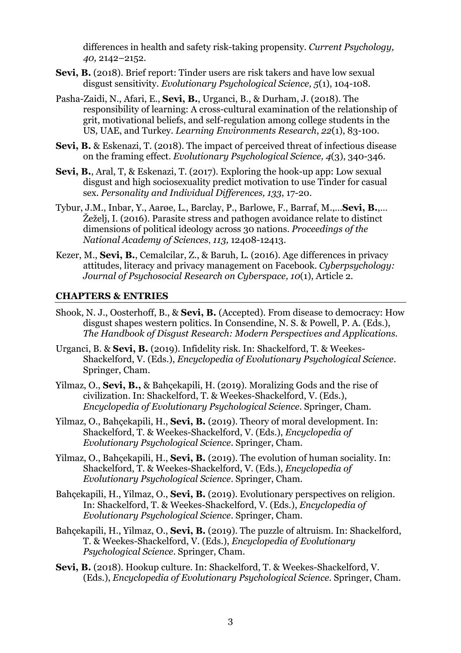differences in health and safety risk-taking propensity. *Current Psychology, 40,* 2142–2152.

- **Sevi, B.** (2018). Brief report: Tinder users are risk takers and have low sexual disgust sensitivity*. Evolutionary Psychological Science, 5*(1), 104-108*.*
- Pasha-Zaidi, N., Afari, E., **Sevi, B.**, Urganci, B., & Durham, J. (2018). The responsibility of learning: A cross-cultural examination of the relationship of grit, motivational beliefs, and self-regulation among college students in the US, UAE, and Turkey. *Learning Environments Research*, *22*(1), 83-100.
- **Sevi, B.** & Eskenazi, T. (2018). The impact of perceived threat of infectious disease on the framing effect. *Evolutionary Psychological Science, 4*(3), 340-346*.*
- **Sevi, B.,** Aral, T, & Eskenazi, T. (2017). Exploring the hook-up app: Low sexual disgust and high sociosexuality predict motivation to use Tinder for casual sex. *Personality and Individual Differences, 133*, 17-20.
- Tybur, J.M., Inbar, Y., Aarøe, L., Barclay, P., Barlowe, F., Barraf, M.,…**Sevi, B.**,… Žeželj, I. (2016). Parasite stress and pathogen avoidance relate to distinct dimensions of political ideology across 30 nations. *Proceedings of the National Academy of Sciences*, *113,* 12408-12413.
- Kezer, M., **Sevi, B.**, Cemalcilar, Z., & Baruh, L. (2016). Age differences in privacy attitudes, literacy and privacy management on Facebook. *Cyberpsychology: Journal of Psychosocial Research on Cyberspace, 10*(1), Article 2.

#### **CHAPTERS & ENTRIES**

- Shook, N. J., Oosterhoff, B., & **Sevi, B.** (Accepted). From disease to democracy: How disgust shapes western politics. In Consendine, N. S. & Powell, P. A. (Eds.), *The Handbook of Disgust Research: Modern Perspectives and Applications.*
- Urganci, B. & **Sevi, B.** (2019). Infidelity risk*.* In: Shackelford, T. & Weekes-Shackelford, V. (Eds.), *Encyclopedia of Evolutionary Psychological Science*. Springer, Cham.
- Yilmaz, O., **Sevi, B.,** & Bahçekapili, H. (2019). Moralizing Gods and the rise of civilization. In: Shackelford, T. & Weekes-Shackelford, V. (Eds.), *Encyclopedia of Evolutionary Psychological Science*. Springer, Cham.
- Yilmaz, O., Bahçekapili, H., **Sevi, B.** (2019). Theory of moral development. In: Shackelford, T. & Weekes-Shackelford, V. (Eds.), *Encyclopedia of Evolutionary Psychological Science*. Springer, Cham.
- Yilmaz, O., Bahçekapili, H., **Sevi, B.** (2019). The evolution of human sociality*.* In: Shackelford, T. & Weekes-Shackelford, V. (Eds.), *Encyclopedia of Evolutionary Psychological Science*. Springer, Cham.
- Bahçekapili, H., Yilmaz, O., **Sevi, B.** (2019). Evolutionary perspectives on religion. In: Shackelford, T. & Weekes-Shackelford, V. (Eds.), *Encyclopedia of Evolutionary Psychological Science*. Springer, Cham.
- Bahçekapili, H., Yilmaz, O., **Sevi, B.** (2019). The puzzle of altruism. In: Shackelford, T. & Weekes-Shackelford, V. (Eds.), *Encyclopedia of Evolutionary Psychological Science*. Springer, Cham.
- **Sevi, B.** (2018). Hookup culture. In: Shackelford, T. & Weekes-Shackelford, V. (Eds.), *Encyclopedia of Evolutionary Psychological Science*. Springer, Cham.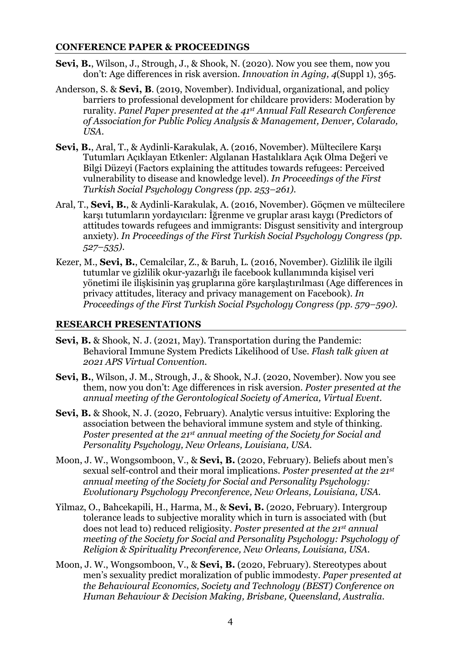#### **CONFERENCE PAPER & PROCEEDINGS**

- **Sevi, B.**, Wilson, J., Strough, J., & Shook, N. (2020). Now you see them, now you don't: Age differences in risk aversion. *Innovation in Aging, 4*(Suppl 1), 365.
- Anderson, S. & **Sevi, B**. (2019, November). Individual, organizational, and policy barriers to professional development for childcare providers: Moderation by rurality. *Panel Paper presented at the 41st Annual Fall Research Conference of Association for Public Policy Analysis & Management, Denver, Colarado, USA.*
- **Sevi, B.**, Aral, T., & Aydinli-Karakulak, A. (2016, November). Mültecilere Karşı Tutumları Açıklayan Etkenler: Algılanan Hastalıklara Açık Olma Değeri ve Bilgi Düzeyi (Factors explaining the attitudes towards refugees: Perceived vulnerability to disease and knowledge level). *In Proceedings of the First Turkish Social Psychology Congress (pp. 253–261).*
- Aral, T., **Sevi, B.**, & Aydinli-Karakulak, A. (2016, November). Göçmen ve mültecilere karşı tutumların yordayıcıları: İğrenme ve gruplar arası kaygı (Predictors of attitudes towards refugees and immigrants: Disgust sensitivity and intergroup anxiety). *In Proceedings of the First Turkish Social Psychology Congress (pp. 527–535).*
- Kezer, M., **Sevi, B.**, Cemalcilar, Z., & Baruh, L. (2016, November). Gizlilik ile ilgili tutumlar ve gizlilik okur-yazarlığı ile facebook kullanımında kişisel veri yönetimi ile ilişkisinin yaş gruplarına göre karşılaştırılması (Age differences in privacy attitudes, literacy and privacy management on Facebook). *In Proceedings of the First Turkish Social Psychology Congress (pp. 579–590).*

#### **RESEARCH PRESENTATIONS**

- **Sevi, B.** & Shook, N. J. (2021, May). Transportation during the Pandemic: Behavioral Immune System Predicts Likelihood of Use. *Flash talk given at 2021 APS Virtual Convention.*
- **Sevi, B.**, Wilson, J. M., Strough, J., & Shook, N.J. (2020, November). Now you see them, now you don't: Age differences in risk aversion. *Poster presented at the annual meeting of the Gerontological Society of America, Virtual Event.*
- **Sevi, B.** & Shook, N. J. (2020, February). Analytic versus intuitive: Exploring the association between the behavioral immune system and style of thinking. *Poster presented at the 21st annual meeting of the Society for Social and Personality Psychology, New Orleans, Louisiana, USA.*
- Moon, J. W., Wongsomboon, V., & **Sevi, B.** (2020, February). Beliefs about men's sexual self-control and their moral implications. *Poster presented at the 21st annual meeting of the Society for Social and Personality Psychology: Evolutionary Psychology Preconference, New Orleans, Louisiana, USA.*
- Yilmaz, O., Bahcekapili, H., Harma, M., & **Sevi, B.** (2020, February). Intergroup tolerance leads to subjective morality which in turn is associated with (but does not lead to) reduced religiosity. *Poster presented at the 21st annual meeting of the Society for Social and Personality Psychology: Psychology of Religion & Spirituality Preconference, New Orleans, Louisiana, USA.*
- Moon, J. W., Wongsomboon, V., & **Sevi, B.** (2020, February). Stereotypes about men's sexuality predict moralization of public immodesty. *Paper presented at the Behavioural Economics, Society and Technology (BEST) Conference on Human Behaviour & Decision Making, Brisbane, Queensland, Australia.*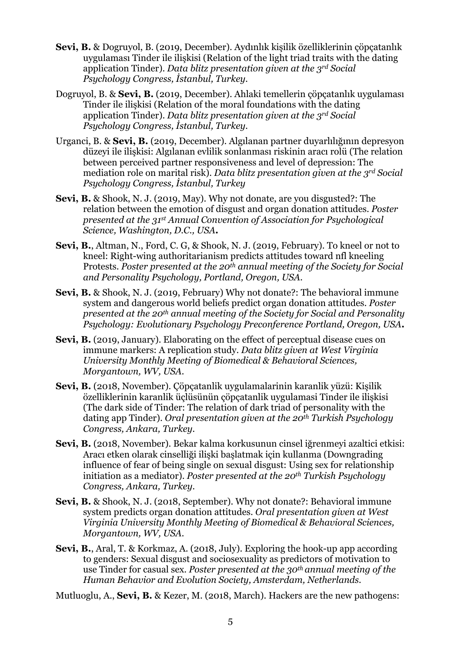- **Sevi, B.** & Dogruyol, B. (2019, December). Aydınlık kişilik özelliklerinin çöpçatanlık uygulaması Tinder ile ilişkisi (Relation of the light triad traits with the dating application Tinder). *Data blitz presentation given at the 3rd Social Psychology Congress, İstanbul, Turkey.*
- Dogruyol, B. & **Sevi, B.** (2019, December). Ahlaki temellerin çöpçatanlık uygulaması Tinder ile ilişkisi (Relation of the moral foundations with the dating application Tinder). *Data blitz presentation given at the 3rd Social Psychology Congress, İstanbul, Turkey.*
- Urganci, B. & **Sevi, B.** (2019, December). Algılanan partner duyarlılığının depresyon düzeyi ile ilişkisi: Algılanan evlilik sonlanması riskinin aracı rolü (The relation between perceived partner responsiveness and level of depression: The mediation role on marital risk). *Data blitz presentation given at the 3rd Social Psychology Congress, İstanbul, Turkey*
- **Sevi, B.** & Shook, N. J. (2019, May). Why not donate, are you disgusted?: The relation between the emotion of disgust and organ donation attitudes. *Poster presented at the 31st Annual Convention of Association for Psychological Science, Washington, D.C., USA***.**
- **Sevi, B.**, Altman, N., Ford, C. G, & Shook, N. J. (2019, February). To kneel or not to kneel: Right-wing authoritarianism predicts attitudes toward nfl kneeling Protests. *Poster presented at the 20th annual meeting of the Society for Social and Personality Psychology, Portland, Oregon, USA.*
- **Sevi, B.** & Shook, N. J. (2019, February) Why not donate?: The behavioral immune system and dangerous world beliefs predict organ donation attitudes. *Poster presented at the 20th annual meeting of the Society for Social and Personality Psychology: Evolutionary Psychology Preconference Portland, Oregon, USA***.**
- **Sevi, B.** (2019, January). Elaborating on the effect of perceptual disease cues on immune markers: A replication study. *Data blitz given at West Virginia University Monthly Meeting of Biomedical & Behavioral Sciences, Morgantown, WV, USA.*
- **Sevi, B.** (2018, November). Çöpçatanlik uygulamalarinin karanlik yüzü: Kişilik özelliklerinin karanlik üçlüsünün çöpçatanlik uygulamasi Tinder ile ilişkisi (The dark side of Tinder: The relation of dark triad of personality with the dating app Tinder). *Oral presentation given at the 20th Turkish Psychology Congress, Ankara, Turkey.*
- **Sevi, B.** (2018, November). Bekar kalma korkusunun cinsel iğrenmeyi azaltici etkisi: Aracı etken olarak cinselliği ilişki başlatmak için kullanma (Downgrading influence of fear of being single on sexual disgust: Using sex for relationship initiation as a mediator). *Poster presented at the 20th Turkish Psychology Congress, Ankara, Turkey.*
- **Sevi, B.** & Shook, N. J. (2018, September). Why not donate?: Behavioral immune system predicts organ donation attitudes. *Oral presentation given at West Virginia University Monthly Meeting of Biomedical & Behavioral Sciences, Morgantown, WV, USA.*
- **Sevi, B.**, Aral, T. & Korkmaz, A. (2018, July). Exploring the hook-up app according to genders: Sexual disgust and sociosexuality as predictors of motivation to use Tinder for casual sex. *Poster presented at the 30th annual meeting of the Human Behavior and Evolution Society, Amsterdam, Netherlands.*
- Mutluoglu, A., **Sevi, B.** & Kezer, M. (2018, March). Hackers are the new pathogens: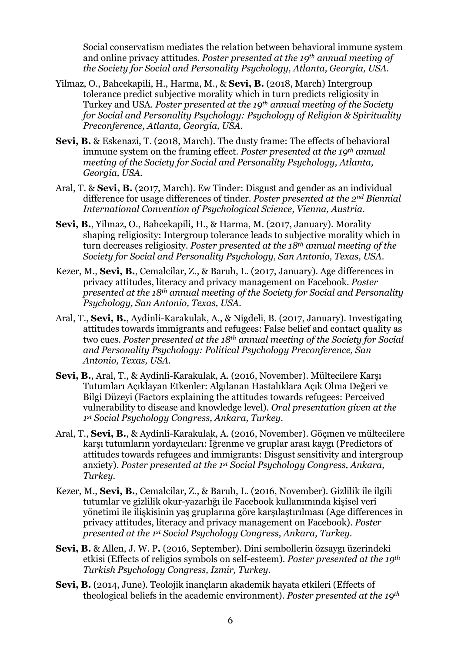Social conservatism mediates the relation between behavioral immune system and online privacy attitudes. *Poster presented at the 19th annual meeting of the Society for Social and Personality Psychology, Atlanta, Georgia, USA.*

- Yilmaz, O., Bahcekapili, H., Harma, M., & **Sevi, B.** (2018, March) Intergroup tolerance predict subjective morality which in turn predicts religiosity in Turkey and USA. *Poster presented at the 19th annual meeting of the Society for Social and Personality Psychology: Psychology of Religion & Spirituality Preconference, Atlanta, Georgia, USA.*
- **Sevi, B.** & Eskenazi, T. (2018, March). The dusty frame: The effects of behavioral immune system on the framing effect. *Poster presented at the 19th annual meeting of the Society for Social and Personality Psychology, Atlanta, Georgia, USA.*
- Aral, T. & **Sevi, B.** (2017, March). Ew Tinder: Disgust and gender as an individual difference for usage differences of tinder. *Poster presented at the 2nd Biennial International Convention of Psychological Science, Vienna, Austria.*
- **Sevi, B.**, Yilmaz, O., Bahcekapili, H., & Harma, M. (2017, January). Morality shaping religiosity: Intergroup tolerance leads to subjective morality which in turn decreases religiosity. *Poster presented at the 18th annual meeting of the Society for Social and Personality Psychology, San Antonio, Texas, USA.*
- Kezer, M., **Sevi, B.**, Cemalcilar, Z., & Baruh, L. (2017, January). Age differences in privacy attitudes, literacy and privacy management on Facebook. *Poster presented at the 18th annual meeting of the Society for Social and Personality Psychology, San Antonio, Texas, USA.*
- Aral, T., **Sevi, B.**, Aydinli-Karakulak, A., & Nigdeli, B. (2017, January). Investigating attitudes towards immigrants and refugees: False belief and contact quality as two cues. *Poster presented at the 18th annual meeting of the Society for Social and Personality Psychology: Political Psychology Preconference, San Antonio, Texas, USA.*
- **Sevi, B.**, Aral, T., & Aydinli-Karakulak, A. (2016, November). Mültecilere Karşı Tutumları Açıklayan Etkenler: Algılanan Hastalıklara Açık Olma Değeri ve Bilgi Düzeyi (Factors explaining the attitudes towards refugees: Perceived vulnerability to disease and knowledge level). *Oral presentation given at the 1st Social Psychology Congress, Ankara, Turkey.*
- Aral, T., **Sevi, B.**, & Aydinli-Karakulak, A. (2016, November). Göçmen ve mültecilere karşı tutumların yordayıcıları: İğrenme ve gruplar arası kaygı (Predictors of attitudes towards refugees and immigrants: Disgust sensitivity and intergroup anxiety). *Poster presented at the 1st Social Psychology Congress, Ankara, Turkey.*
- Kezer, M., **Sevi, B.**, Cemalcilar, Z., & Baruh, L. (2016, November). Gizlilik ile ilgili tutumlar ve gizlilik okur-yazarlığı ile Facebook kullanımında kişisel veri yönetimi ile ilişkisinin yaş gruplarına göre karşılaştırılması (Age differences in privacy attitudes, literacy and privacy management on Facebook). *Poster presented at the 1st Social Psychology Congress, Ankara, Turkey.*
- **Sevi, B.** & Allen, J. W. P**.** (2016, September). Dini sembollerin özsaygı üzerindeki etkisi (Effects of religios symbols on self-esteem). *Poster presented at the 19th Turkish Psychology Congress, Izmir, Turkey.*
- **Sevi, B.** (2014, June). Teolojik inançların akademik hayata etkileri (Effects of theological beliefs in the academic environment). *Poster presented at the 19th*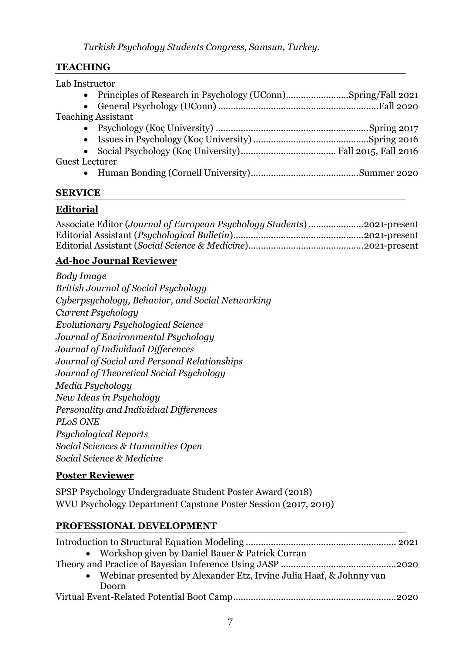# **TEACHING**

| Lab Instructor            |  |
|---------------------------|--|
|                           |  |
|                           |  |
| <b>Teaching Assistant</b> |  |
|                           |  |
|                           |  |
|                           |  |
| <b>Guest Lecturer</b>     |  |
|                           |  |

# **SERVICE**

# **Editorial**

| Associate Editor (Journal of European Psychology Students) 2021-present |  |
|-------------------------------------------------------------------------|--|
|                                                                         |  |
|                                                                         |  |

# **Ad-hoc Journal Reviewer**

| Body Image                                       |  |
|--------------------------------------------------|--|
| British Journal of Social Psychology             |  |
| Cyberpsychology, Behavior, and Social Networking |  |
| Current Psychology                               |  |
| Evolutionary Psychological Science               |  |
| Journal of Environmental Psychology              |  |
| Journal of Individual Differences                |  |
| Journal of Social and Personal Relationships     |  |
| Journal of Theoretical Social Psychology         |  |
| Media Psychology                                 |  |
| New Ideas in Psychology                          |  |
| Personality and Individual Differences           |  |
| <b>PLOS ONE</b>                                  |  |
| Psychological Reports                            |  |
| Social Sciences & Humanities Open                |  |
| Social Science & Medicine                        |  |

# **Poster Reviewer**

SPSP Psychology Undergraduate Student Poster Award (2018) WVU Psychology Department Capstone Poster Session (2017, 2019)

# **PROFESSIONAL DEVELOPMENT**

| • Workshop given by Daniel Bauer & Patrick Curran                     |  |
|-----------------------------------------------------------------------|--|
|                                                                       |  |
| • Webinar presented by Alexander Etz, Irvine Julia Haaf, & Johnny van |  |
| Doorn                                                                 |  |
|                                                                       |  |
|                                                                       |  |